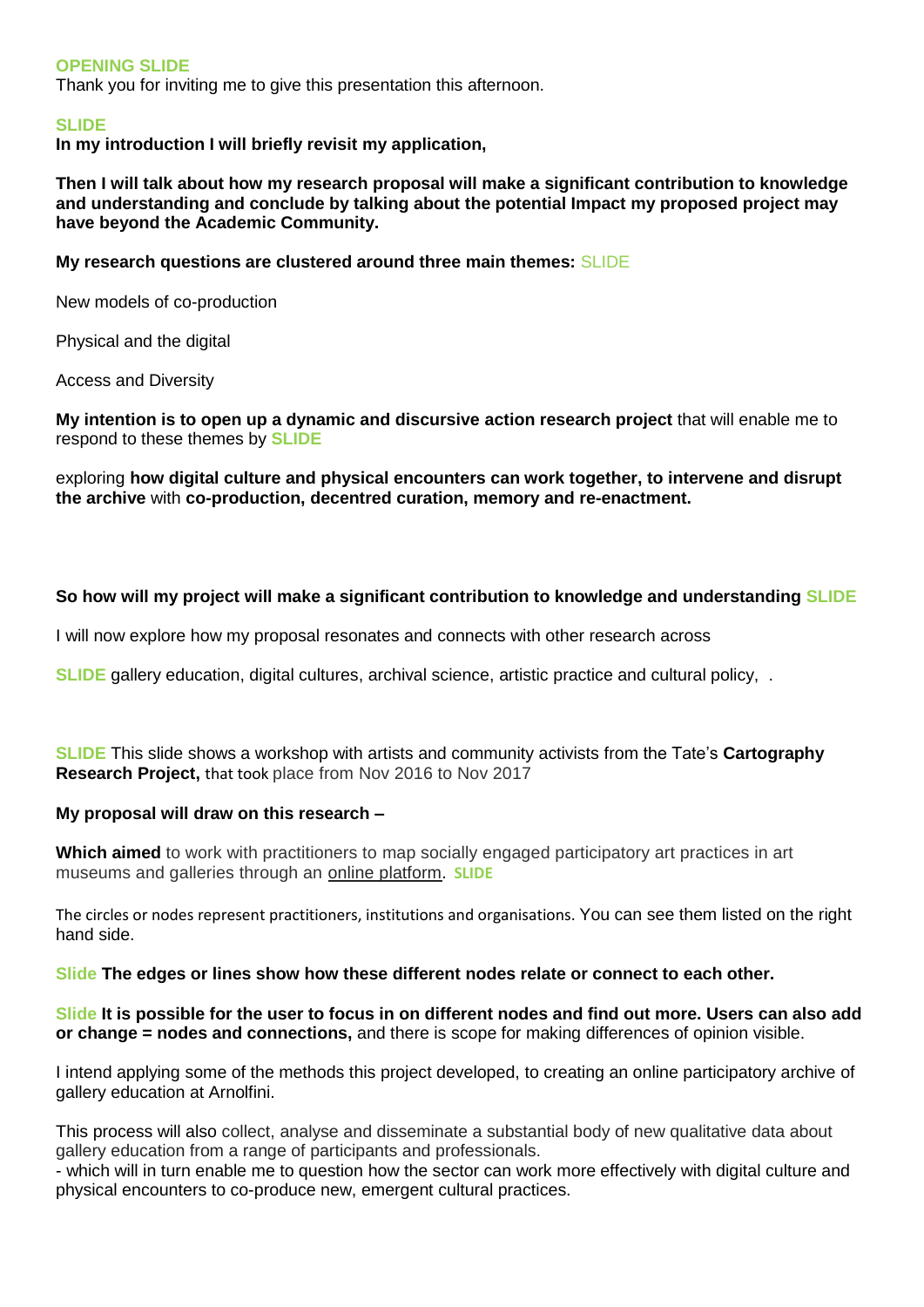#### **OPENING SLIDE**

Thank you for inviting me to give this presentation this afternoon.

#### **SLIDE**

**In my introduction I will briefly revisit my application,** 

**Then I will talk about how my research proposal will make a significant contribution to knowledge and understanding and conclude by talking about the potential Impact my proposed project may have beyond the Academic Community.**

**My research questions are clustered around three main themes:** SLIDE

New models of co-production

Physical and the digital

Access and Diversity

**My intention is to open up a dynamic and discursive action research project** that will enable me to respond to these themes by **SLIDE**

exploring **how digital culture and physical encounters can work together, to intervene and disrupt the archive** with **co-production, decentred curation, memory and re-enactment.**

## **So how will my project will make a significant contribution to knowledge and understanding SLIDE**

I will now explore how my proposal resonates and connects with other research across

**SLIDE** gallery education, digital cultures, archival science, artistic practice and cultural policy, .

**SLIDE** This slide shows a workshop with artists and community activists from the Tate's **Cartography Research Project,** that took place from Nov 2016 to Nov 2017

#### **My proposal will draw on this research –**

**Which aimed** to work with practitioners to map socially engaged participatory art practices in art museums and galleries through an [online platform](https://graphcommons.com/graphs/67c524a9-8c96-40ef-8c4c-9c9105ab8116/selection/3640d913-e8c0-403d-9bee-3b904afe229e). **SLIDE**

The circles or nodes represent practitioners, institutions and organisations. You can see them listed on the right hand side.

#### **Slide The edges or lines show how these different nodes relate or connect to each other.**

**Slide It is possible for the user to focus in on different nodes and find out more. Users can also add or change = nodes and connections,** and there is scope for making differences of opinion visible.

I intend applying some of the methods this project developed, to creating an online participatory archive of gallery education at Arnolfini.

This process will also collect, analyse and disseminate a substantial body of new qualitative data about gallery education from a range of participants and professionals.

- which will in turn enable me to question how the sector can work more effectively with digital culture and physical encounters to co-produce new, emergent cultural practices.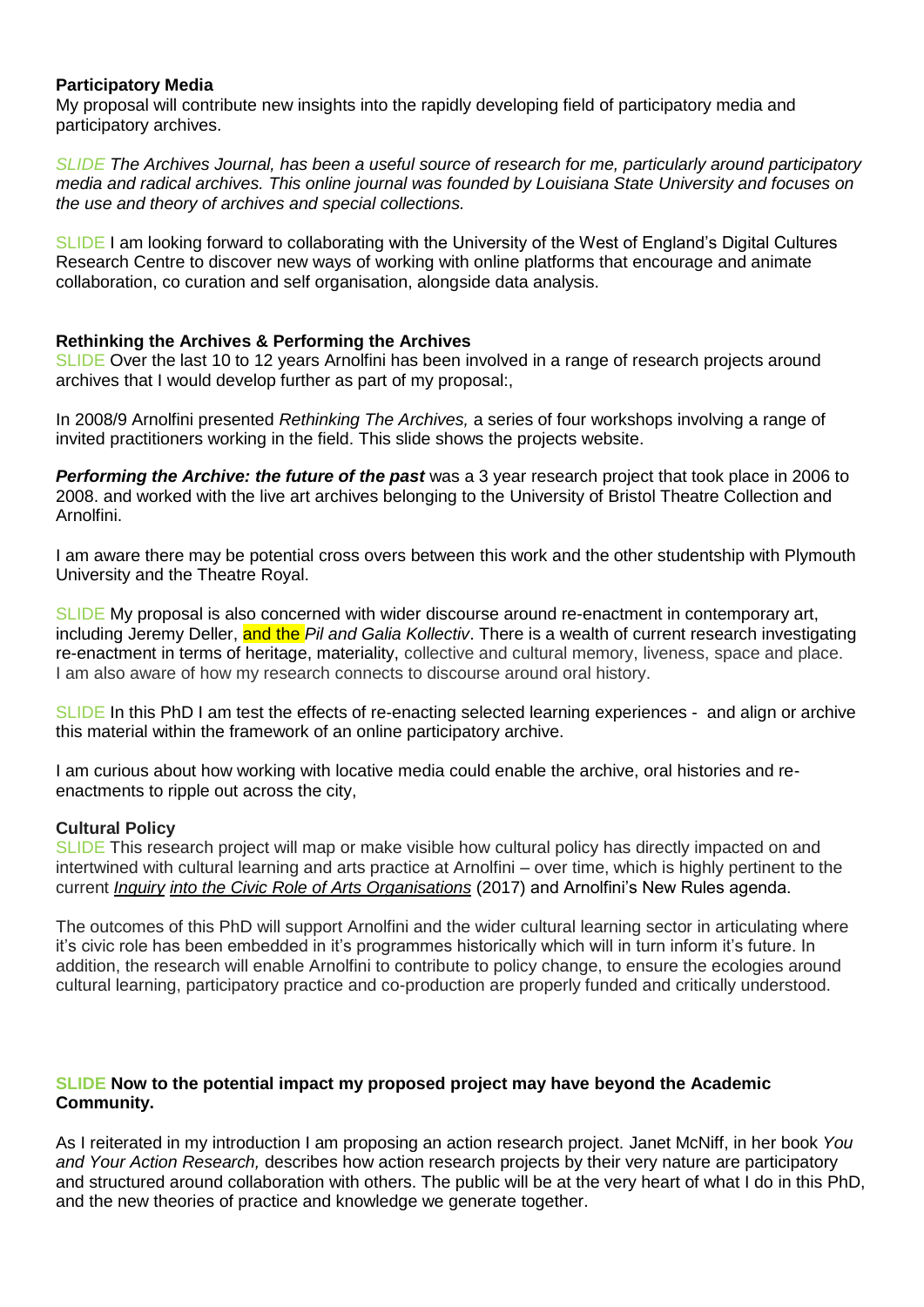## **Participatory Media**

My proposal will contribute new insights into the rapidly developing field of participatory media and participatory archives.

*SLIDE The Archives Journal, has been a useful source of research for me, particularly around participatory media and radical archives. This online journal was founded by Louisiana State University and focuses on the use and theory of archives and special collections.* 

SLIDE I am looking forward to collaborating with the University of the West of England's Digital Cultures Research Centre to discover new ways of working with online platforms that encourage and animate collaboration, co curation and self organisation, alongside data analysis.

## **Rethinking the Archives & Performing the Archives**

SLIDE Over the last 10 to 12 years Arnolfini has been involved in a range of research projects around archives that I would develop further as part of my proposal:,

In 2008/9 Arnolfini presented *Rethinking The Archives,* a series of four workshops involving a range of invited practitioners working in the field. This slide shows the projects website.

*Performing the Archive: the future of the past* was a 3 year research project that took place in 2006 to 2008. and worked with the live art archives belonging to the University of Bristol Theatre Collection and Arnolfini.

I am aware there may be potential cross overs between this work and the other studentship with Plymouth University and the Theatre Royal.

SLIDE My proposal is also concerned with wider discourse around re-enactment in contemporary art, including Jeremy Deller, and the *Pil and Galia Kollectiv*. There is a wealth of current research investigating re-enactment in terms of heritage, materiality, collective and cultural memory, liveness, space and place. I am also aware of how my research connects to discourse around oral history.

SLIDE In this PhD I am test the effects of re-enacting selected learning experiences - and align or archive this material within the framework of an online participatory archive.

I am curious about how working with locative media could enable the archive, oral histories and reenactments to ripple out across the city,

## **Cultural Policy**

SLIDE This research project will map or make visible how cultural policy has directly impacted on and intertwined with cultural learning and arts practice at Arnolfini – over time, which is highly pertinent to the current *[Inquiry](http://civicroleartsinquiry.gulbenkian.org.uk/wp-content/uploads/2017/07/Civic-Role-of-Arts-Phase-1-REPORT-SINGLE-PAGES-5-7-17.pdf) [into the Civic Role of Arts](http://civicroleartsinquiry.gulbenkian.org.uk/wp-content/uploads/2017/07/Civic-Role-of-Arts-Phase-1-REPORT-SINGLE-PAGES-5-7-17.pdf) Organisations* (2017) and Arnolfini's New Rules agenda.

The outcomes of this PhD will support Arnolfini and the wider cultural learning sector in articulating where it's civic role has been embedded in it's programmes historically which will in turn inform it's future. In addition, the research will enable Arnolfini to contribute to policy change, to ensure the ecologies around cultural learning, participatory practice and co-production are properly funded and critically understood.

## **SLIDE Now to the potential impact my proposed project may have beyond the Academic Community.**

As I reiterated in my introduction I am proposing an action research project. Janet McNiff, in her book *You and Your Action Research,* describes how action research projects by their very nature are participatory and structured around collaboration with others. The public will be at the very heart of what I do in this PhD, and the new theories of practice and knowledge we generate together.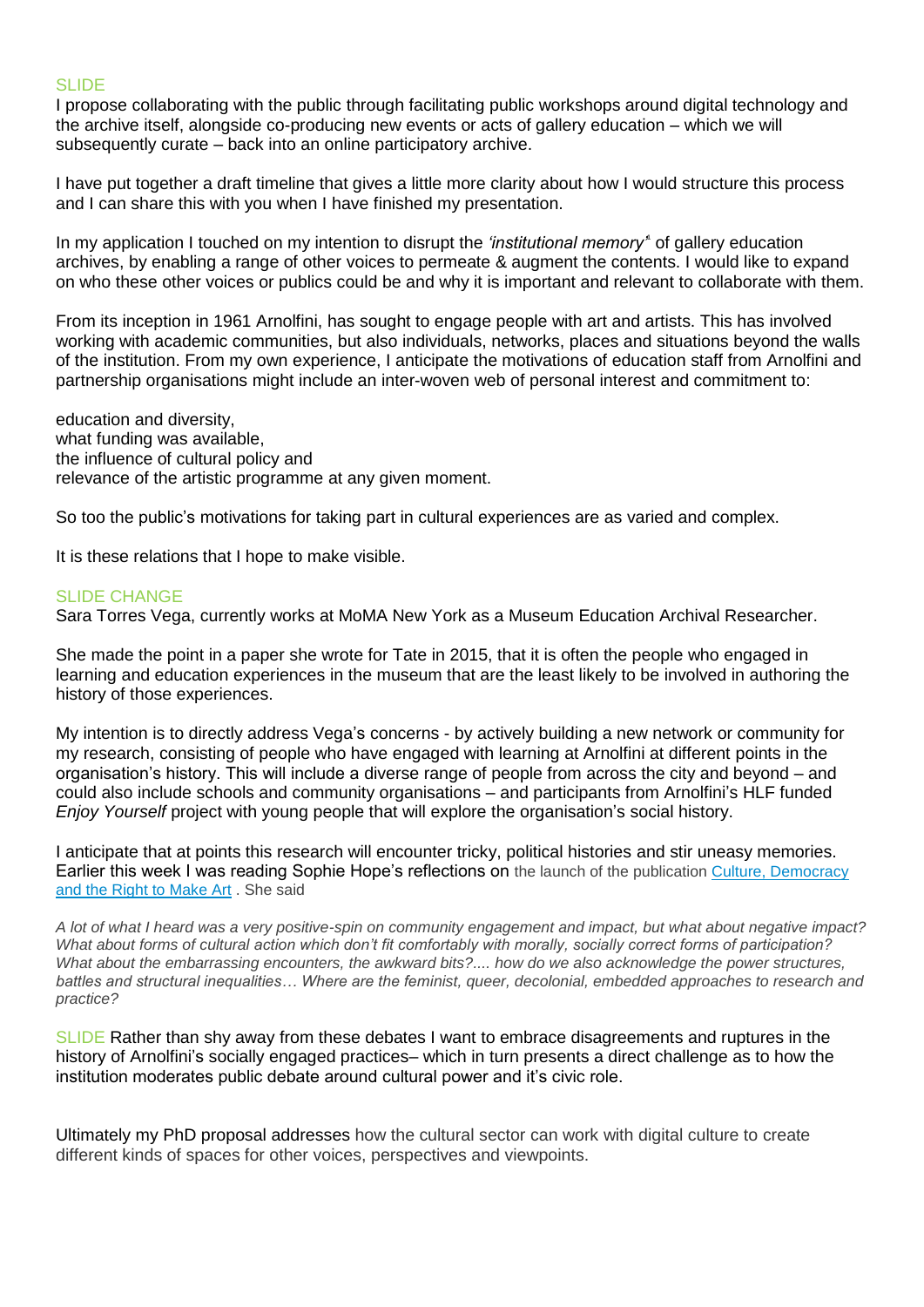## SLIDE

I propose collaborating with the public through facilitating public workshops around digital technology and the archive itself, alongside co-producing new events or acts of gallery education – which we will subsequently curate – back into an online participatory archive.

I have put together a draft timeline that gives a little more clarity about how I would structure this process and I can share this with you when I have finished my presentation.

In my application I touched on my intention to disrupt the *'institutional memory*<sup>\*</sup> of gallery education archives, by enabling a range of other voices to permeate & augment the contents. I would like to expand on who these other voices or publics could be and why it is important and relevant to collaborate with them.

From its inception in 1961 Arnolfini, has sought to engage people with art and artists. This has involved working with academic communities, but also individuals, networks, places and situations beyond the walls of the institution. From my own experience, I anticipate the motivations of education staff from Arnolfini and partnership organisations might include an inter-woven web of personal interest and commitment to:

education and diversity, what funding was available. the influence of cultural policy and relevance of the artistic programme at any given moment.

So too the public's motivations for taking part in cultural experiences are as varied and complex.

It is these relations that I hope to make visible.

## SLIDE CHANGE

Sara Torres Vega, currently works at MoMA New York as a Museum Education Archival Researcher.

She made the point in a paper she wrote for Tate in 2015, that it is often the people who engaged in learning and education experiences in the museum that are the least likely to be involved in authoring the history of those experiences.

My intention is to directly address Vega's concerns - by actively building a new network or community for my research, consisting of people who have engaged with learning at Arnolfini at different points in the organisation's history. This will include a diverse range of people from across the city and beyond – and could also include schools and community organisations – and participants from Arnolfini's HLF funded *Enjoy Yourself* project with young people that will explore the organisation's social history.

I anticipate that at points this research will encounter tricky, political histories and stir uneasy memories. Earlier this week I was reading Sophie Hope's reflections on the launch of the publication [Culture, Democracy](https://www.bloomsbury.com/uk/culture-democracy-and-the-right-to-make-art-9781474258388/)  [and the Right to Make Art](https://www.bloomsbury.com/uk/culture-democracy-and-the-right-to-make-art-9781474258388/) . She said

*A lot of what I heard was a very positive-spin on community engagement and impact, but what about negative impact? What about forms of cultural action which don't fit comfortably with morally, socially correct forms of participation? What about the embarrassing encounters, the awkward bits?.... how do we also acknowledge the power structures, battles and structural inequalities… Where are the feminist, queer, decolonial, embedded approaches to research and practice?*

SLIDE Rather than shy away from these debates I want to embrace disagreements and ruptures in the history of Arnolfini's socially engaged practices– which in turn presents a direct challenge as to how the institution moderates public debate around cultural power and it's civic role.

Ultimately my PhD proposal addresses how the cultural sector can work with digital culture to create different kinds of spaces for other voices, perspectives and viewpoints.